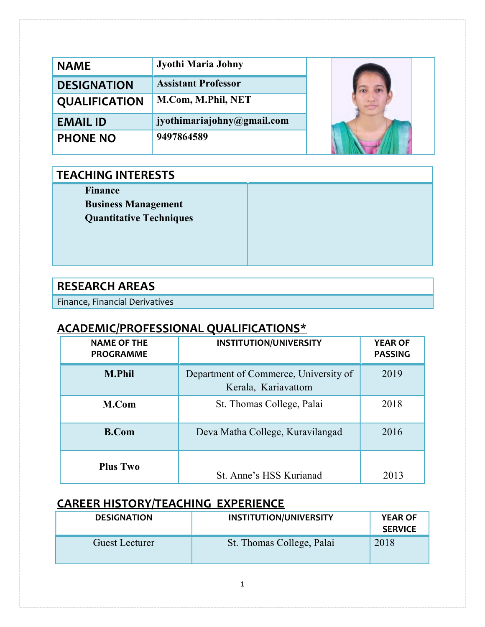| <b>NAME</b>          | Jyothi Maria Johny         |  |
|----------------------|----------------------------|--|
| <b>DESIGNATION</b>   | <b>Assistant Professor</b> |  |
| <b>QUALIFICATION</b> | M.Com, M.Phil, NET         |  |
| <b>EMAIL ID</b>      | jyothimariajohny@gmail.com |  |
| <b>PHONE NO</b>      | 9497864589                 |  |

#### TEACHING INTERESTS

Finance

Business Management Quantitative Techniques

#### RESEARCH AREAS

Finance, Financial Derivatives

## ACADEMIC/PROFESSIONAL QUALIFICATIONS\*

| <b>NAME OF THE</b><br><b>PROGRAMME</b> | <b>INSTITUTION/UNIVERSITY</b>                                | <b>YEAR OF</b><br><b>PASSING</b> |
|----------------------------------------|--------------------------------------------------------------|----------------------------------|
| <b>M.Phil</b>                          | Department of Commerce, University of<br>Kerala, Kariavattom | 2019                             |
| M.Com                                  | St. Thomas College, Palai                                    | 2018                             |
| <b>B.Com</b>                           | Deva Matha College, Kuravilangad                             | 2016                             |
| <b>Plus Two</b>                        | St. Anne's HSS Kurianad                                      | 2013                             |

## CAREER HISTORY/TEACHING EXPERIENCE

| <b>DESIGNATION</b>    | <b>INSTITUTION/UNIVERSITY</b> | <b>YEAR OF</b><br><b>SERVICE</b> |
|-----------------------|-------------------------------|----------------------------------|
| <b>Guest Lecturer</b> | St. Thomas College, Palai     | 2018                             |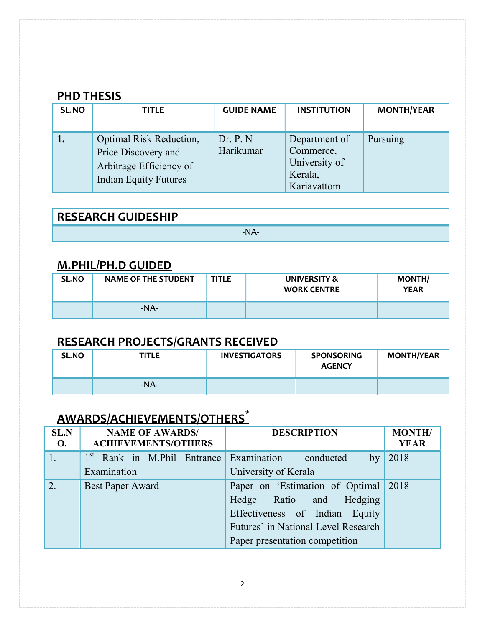#### **PHD THESIS**

| SL.NO | <b>TITLE</b>                                                                                                     | <b>GUIDE NAME</b>     | <b>INSTITUTION</b>                                                    | <b>MONTH/YEAR</b> |
|-------|------------------------------------------------------------------------------------------------------------------|-----------------------|-----------------------------------------------------------------------|-------------------|
|       | <b>Optimal Risk Reduction,</b><br>Price Discovery and<br>Arbitrage Efficiency of<br><b>Indian Equity Futures</b> | Dr. P. N<br>Harikumar | Department of<br>Commerce,<br>University of<br>Kerala,<br>Kariavattom | Pursuing          |

RESEARCH GUIDESHIP -NA-

### M.PHIL/PH.D GUIDED

| SL.NO | <b>NAME OF THE STUDENT</b> | <b>TITLE</b> | UNIVERSITY &<br><b>WORK CENTRE</b> | <b>MONTH/</b><br><b>YEAR</b> |
|-------|----------------------------|--------------|------------------------------------|------------------------------|
|       | -NA-                       |              |                                    |                              |

### RESEARCH PROJECTS/GRANTS RECEIVED

| <b>SL.NO</b> | TITLE   | <b>INVESTIGATORS</b> | <b>SPONSORING</b><br><b>AGENCY</b> | <b>MONTH/YEAR</b> |
|--------------|---------|----------------------|------------------------------------|-------------------|
|              | $-NA$ - |                      |                                    |                   |

# AWARDS/ACHIEVEMENTS/OTHERS<sup>\*</sup>

| <b>SL.N</b><br><b>O.</b> | <b>NAME OF AWARDS/</b><br><b>ACHIEVEMENTS/OTHERS</b>          | <b>DESCRIPTION</b>                   | <b>MONTH/</b><br><b>YEAR</b> |
|--------------------------|---------------------------------------------------------------|--------------------------------------|------------------------------|
|                          | 1 <sup>st</sup> Rank in M.Phil Entrance Examination conducted | by                                   | 2018                         |
|                          | Examination                                                   | University of Kerala                 |                              |
| 2.                       | <b>Best Paper Award</b>                                       | Paper on 'Estimation of Optimal 2018 |                              |
|                          |                                                               | Hedge Ratio and Hedging              |                              |
|                          |                                                               | Effectiveness of Indian Equity       |                              |
|                          |                                                               | Futures' in National Level Research  |                              |
|                          |                                                               | Paper presentation competition       |                              |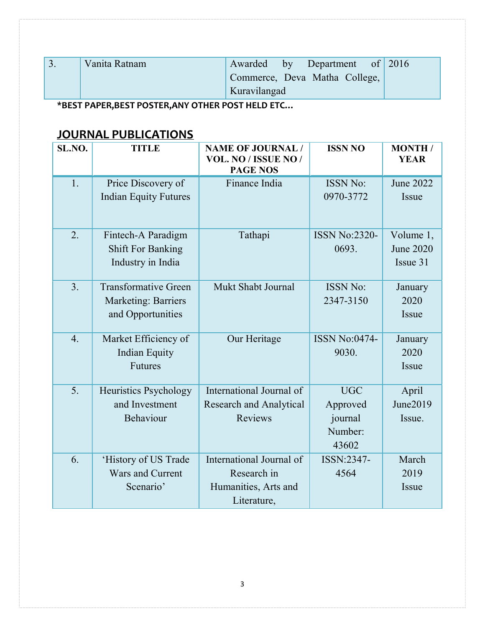| Vanita Ratnam |              | Awarded by Department of 2016 |  |
|---------------|--------------|-------------------------------|--|
|               |              | Commerce, Deva Matha College, |  |
|               | Kuravilangad |                               |  |

\*BEST PAPER,BEST POSTER,ANY OTHER POST HELD ETC…

### JOURNAL PUBLICATIONS

| SL.NO.           | <b>TITLE</b>                 | <b>NAME OF JOURNAL /</b>                | <b>ISSN NO</b>       | <b>MONTH</b> /   |
|------------------|------------------------------|-----------------------------------------|----------------------|------------------|
|                  |                              | VOL. NO / ISSUE NO /<br><b>PAGE NOS</b> |                      | <b>YEAR</b>      |
| 1.               | Price Discovery of           | Finance India                           | <b>ISSN No:</b>      | <b>June 2022</b> |
|                  | <b>Indian Equity Futures</b> |                                         | 0970-3772            | Issue            |
|                  |                              |                                         |                      |                  |
|                  |                              |                                         |                      |                  |
| 2.               | Fintech-A Paradigm           | Tathapi                                 | <b>ISSN No:2320-</b> | Volume 1,        |
|                  | <b>Shift For Banking</b>     |                                         | 0693.                | <b>June 2020</b> |
|                  | Industry in India            |                                         |                      | Issue 31         |
| 3.               | <b>Transformative Green</b>  | Mukt Shabt Journal                      | <b>ISSN No:</b>      | January          |
|                  | <b>Marketing: Barriers</b>   |                                         | 2347-3150            | 2020             |
|                  | and Opportunities            |                                         |                      | Issue            |
|                  |                              |                                         |                      |                  |
| $\overline{4}$ . | Market Efficiency of         | Our Heritage                            | <b>ISSN No:0474-</b> | January          |
|                  | Indian Equity                |                                         | 9030.                | 2020             |
|                  | Futures                      |                                         |                      | Issue            |
| 5.               | Heuristics Psychology        | International Journal of                | <b>UGC</b>           | April            |
|                  | and Investment               | <b>Research and Analytical</b>          | Approved             | June2019         |
|                  | Behaviour                    | <b>Reviews</b>                          | journal              | Issue.           |
|                  |                              |                                         | Number:              |                  |
|                  |                              |                                         | 43602                |                  |
| 6.               | 'History of US Trade         | International Journal of                | ISSN:2347-           | March            |
|                  | Wars and Current             | Research in                             | 4564                 | 2019             |
|                  | Scenario'                    | Humanities, Arts and                    |                      | Issue            |
|                  |                              | Literature,                             |                      |                  |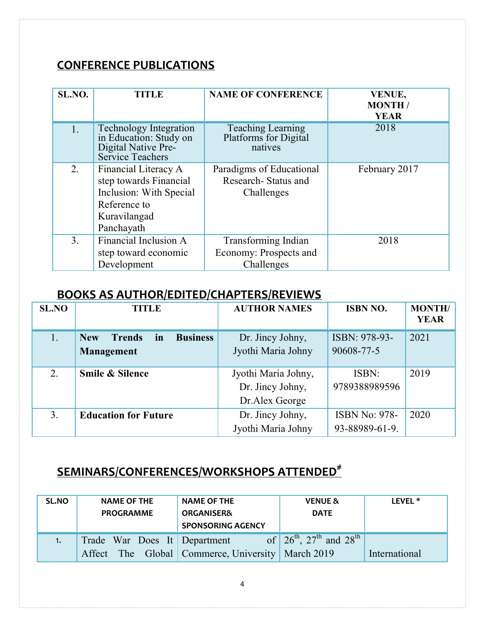#### CONFERENCE PUBLICATIONS

| SL.NO. | <b>TITLE</b>                                                                                                            | <b>NAME OF CONFERENCE</b>                                     | <b>VENUE,</b><br><b>MONTH</b> /<br><b>YEAR</b> |
|--------|-------------------------------------------------------------------------------------------------------------------------|---------------------------------------------------------------|------------------------------------------------|
| 1.     | <b>Technology Integration</b><br>in Education: Study on<br>Digital Native Pre-<br>Service Teachers                      | <b>Teaching Learning</b><br>Platforms for Digital<br>natives  | 2018                                           |
| 2.     | Financial Literacy A<br>step towards Financial<br>Inclusion: With Special<br>Reference to<br>Kuravilangad<br>Panchayath | Paradigms of Educational<br>Research-Status and<br>Challenges | February 2017                                  |
| 3.     | Financial Inclusion A<br>step toward economic<br>Development                                                            | Transforming Indian<br>Economy: Prospects and<br>Challenges   | 2018                                           |

### BOOKS AS AUTHOR/EDITED/CHAPTERS/REVIEWS

| <b>SL.NO</b> | <b>TITLE</b>                                         | <b>AUTHOR NAMES</b> | <b>ISBN NO.</b>      | <b>MONTH/</b><br><b>YEAR</b> |
|--------------|------------------------------------------------------|---------------------|----------------------|------------------------------|
|              | <b>Business</b><br><b>New</b><br><b>Trends</b><br>in | Dr. Jincy Johny,    | ISBN: 978-93-        | 2021                         |
|              | Management                                           | Jyothi Maria Johny  | 90608-77-5           |                              |
| 2.           | <b>Smile &amp; Silence</b>                           | Jyothi Maria Johny, | ISBN:                | 2019                         |
|              |                                                      | Dr. Jincy Johny,    | 9789388989596        |                              |
|              |                                                      | Dr.Alex George      |                      |                              |
| 3.           | <b>Education for Future</b>                          | Dr. Jincy Johny,    | <b>ISBN No: 978-</b> | 2020                         |
|              |                                                      | Jyothi Maria Johny  | 93-88989-61-9.       |                              |

## SEMINARS/CONFERENCES/WORKSHOPS ATTENDED<sup>#</sup>

| SL.NO | <b>NAME OF THE</b><br><b>PROGRAMME</b> | <b>NAME OF THE</b><br><b>ORGANISER&amp;</b><br><b>SPONSORING AGENCY</b> | <b>VENUE &amp;</b><br><b>DATE</b>      | LEVEL <sup>*</sup> |
|-------|----------------------------------------|-------------------------------------------------------------------------|----------------------------------------|--------------------|
| 1.    | Trade War Does It Department           | Affect The Global Commerce, University March 2019                       | of $26^{th}$ , $27^{th}$ and $28^{th}$ | International      |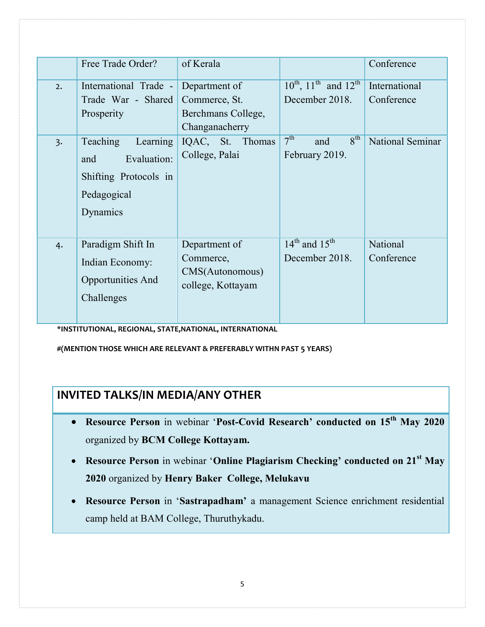|                  | Free Trade Order?                                                                              | of Kerala                                                          |                                                             | Conference                  |
|------------------|------------------------------------------------------------------------------------------------|--------------------------------------------------------------------|-------------------------------------------------------------|-----------------------------|
| 2.               | International Trade - Department of<br>Trade War - Shared<br>Prosperity                        | Commerce, St.<br>Berchmans College,<br>Changanacherry              | $10^{th}$ , $11^{th}$ and $12^{th}$<br>December 2018.       | International<br>Conference |
| $\overline{3}$ . | Teaching<br>Learning<br>Evaluation:<br>and<br>Shifting Protocols in<br>Pedagogical<br>Dynamics | IQAC, St. Thomas<br>College, Palai                                 | 7 <sup>th</sup><br>$8^{\text{th}}$<br>and<br>February 2019. | <b>National Seminar</b>     |
| 4.               | Paradigm Shift In<br>Indian Economy:<br>Opportunities And<br>Challenges                        | Department of<br>Commerce,<br>CMS(Autonomous)<br>college, Kottayam | $14th$ and $15th$<br>December 2018.                         | National<br>Conference      |

\*INSTITUTIONAL, REGIONAL, STATE,NATIONAL, INTERNATIONAL

#(MENTION THOSE WHICH ARE RELEVANT & PREFERABLY WITHN PAST 5 YEARS)

#### INVITED TALKS/IN MEDIA/ANY OTHER

- Resource Person in webinar 'Post-Covid Research' conducted on 15<sup>th</sup> May 2020 organized by BCM College Kottayam.
- Resource Person in webinar 'Online Plagiarism Checking' conducted on 21<sup>st</sup> May 2020 organized by Henry Baker College, Melukavu
- Resource Person in 'Sastrapadham' a management Science enrichment residential camp held at BAM College, Thuruthykadu.